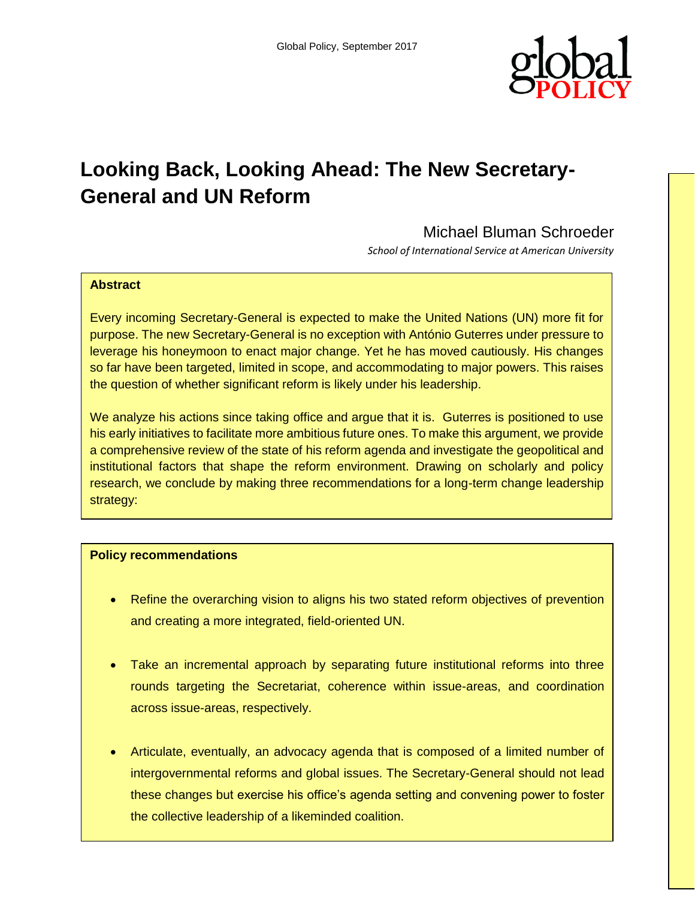

# **Looking Back, Looking Ahead: The New Secretary-General and UN Reform**

## Michael Bluman Schroeder

*School of International Service at American University*

#### **Abstract**

Every incoming Secretary-General is expected to make the United Nations (UN) more fit for purpose. The new Secretary-General is no exception with António Guterres under pressure to leverage his honeymoon to enact major change. Yet he has moved cautiously. His changes so far have been targeted, limited in scope, and accommodating to major powers. This raises the question of whether significant reform is likely under his leadership.

We analyze his actions since taking office and argue that it is. Guterres is positioned to use his early initiatives to facilitate more ambitious future ones. To make this argument, we provide a comprehensive review of the state of his reform agenda and investigate the geopolitical and institutional factors that shape the reform environment. Drawing on scholarly and policy research, we conclude by making three recommendations for a long-term change leadership strategy:

#### **Policy recommendations**

- Refine the overarching vision to aligns his two stated reform objectives of prevention and creating a more integrated, field-oriented UN.
- Take an incremental approach by separating future institutional reforms into three rounds targeting the Secretariat, coherence within issue-areas, and coordination across issue-areas, respectively.
- Articulate, eventually, an advocacy agenda that is composed of a limited number of intergovernmental reforms and global issues. The Secretary-General should not lead these changes but exercise his office's agenda setting and convening power to foster the collective leadership of a likeminded coalition.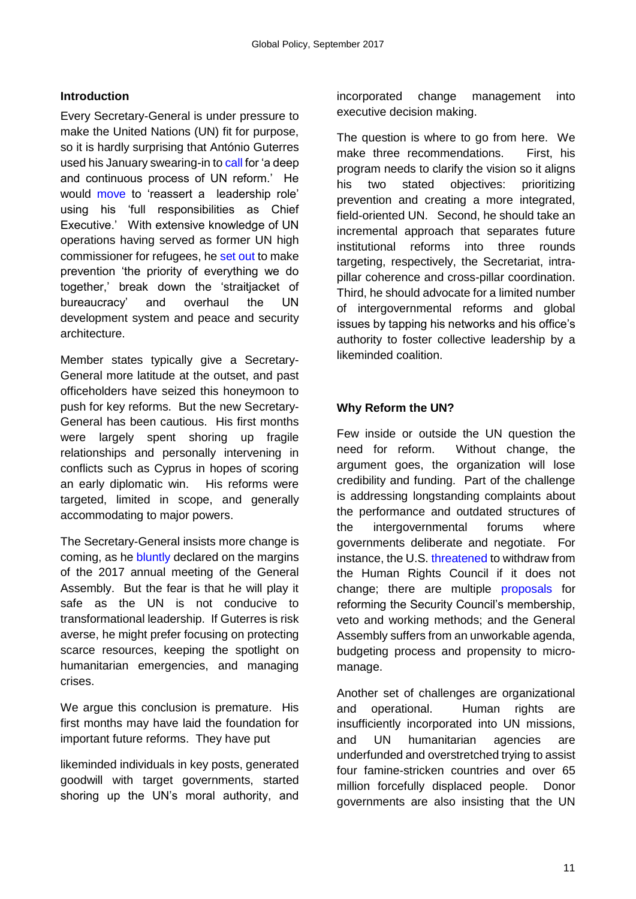## **Introduction**

Every Secretary-General is under pressure to make the United Nations (UN) fit for purpose, so it is hardly surprising that António Guterres used his January swearing-in t[o call](http://statements.unmeetings.org/media2/7664247/sg-eng-.pdf%5d.) for 'a deep and continuous process of UN reform.' He would [move](https://www.un.org/sg/en/content/sg/statement/2017-07-05/secretary-generals-remarks-economic-and-social-council-repositioning) to 'reassert a leadership role' using his 'full responsibilities as Chief Executive.' With extensive knowledge of UN operations having served as former UN high commissioner for refugees, he [set out](https://www.un.org/sg/en/content/sg/speeches/2017-01-10/secretary-generals-remarks-maintenance-international-peace-and.) to make prevention 'the priority of everything we do together,' break down the 'straitjacket of bureaucracy' and overhaul the UN development system and peace and security architecture.

Member states typically give a Secretary-General more latitude at the outset, and past officeholders have seized this honeymoon to push for key reforms. But the new Secretary-General has been cautious. His first months were largely spent shoring up fragile relationships and personally intervening in conflicts such as Cyprus in hopes of scoring an early diplomatic win. His reforms were targeted, limited in scope, and generally accommodating to major powers.

The Secretary-General insists more change is coming, as he [bluntly](http://www.smh.com.au/world/on-united-nations-drift-antnio-guterres-beats-donald-trump-to-the-punch-20170918-gyk4ds.html) declared on the margins of the 2017 annual meeting of the General Assembly. But the fear is that he will play it safe as the UN is not conducive to transformational leadership. If Guterres is risk averse, he might prefer focusing on protecting scarce resources, keeping the spotlight on humanitarian emergencies, and managing crises.

We argue this conclusion is premature. His first months may have laid the foundation for important future reforms. They have put

likeminded individuals in key posts, generated goodwill with target governments, started shoring up the UN's moral authority, and incorporated change management into executive decision making.

The question is where to go from here. We make three recommendations. First, his program needs to clarify the vision so it aligns his two stated objectives: prioritizing prevention and creating a more integrated, field-oriented UN. Second, he should take an incremental approach that separates future institutional reforms into three rounds targeting, respectively, the Secretariat, intrapillar coherence and cross-pillar coordination. Third, he should advocate for a limited number of intergovernmental reforms and global issues by tapping his networks and his office's authority to foster collective leadership by a likeminded coalition.

#### **Why Reform the UN?**

Few inside or outside the UN question the need for reform. Without change, the argument goes, the organization will lose credibility and funding. Part of the challenge is addressing longstanding complaints about the performance and outdated structures of the intergovernmental forums where governments deliberate and negotiate. For instance, the U.S[. threatened](https://geneva.usmission.gov/2017/06/06/ambassador-nikki-haley-address-to-the-u-n-human-rights-council/) to withdraw from the Human Rights Council if it does not change; there are multiple [proposals](http://onlinelibrary.wiley.com/doi/10.1111/j.1468-2346.2007.00663.x/abstract) for reforming the Security Council's membership, veto and working methods; and the General Assembly suffers from an unworkable agenda, budgeting process and propensity to micromanage.

Another set of challenges are organizational and operational. Human rights are insufficiently incorporated into UN missions, and UN humanitarian agencies are underfunded and overstretched trying to assist four famine-stricken countries and over 65 million forcefully displaced people. Donor governments are also insisting that the UN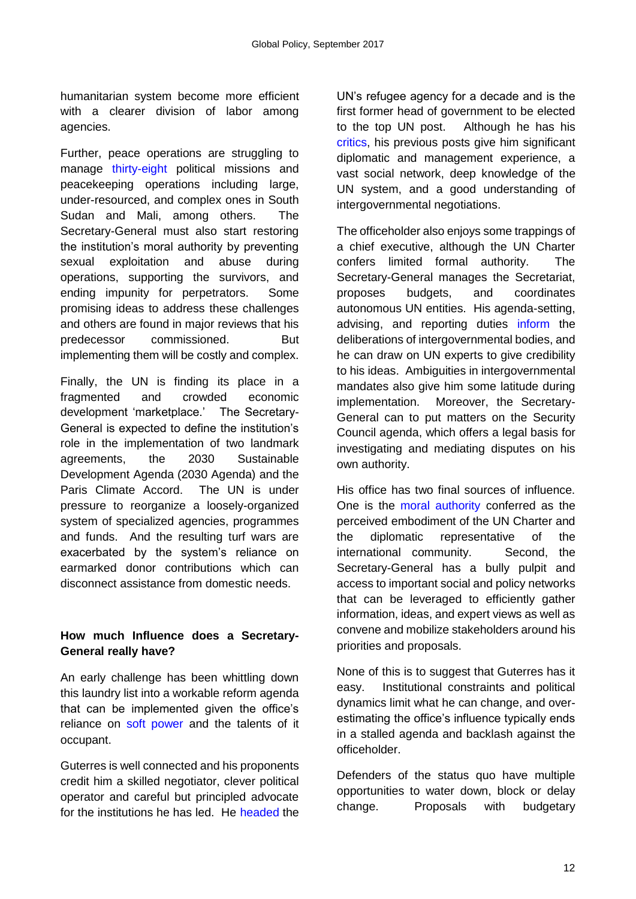humanitarian system become more efficient with a clearer division of labor among agencies.

Further, peace operations are struggling to manage [thirty-eight](https://www.unmissions.org/) political missions and peacekeeping operations including large, under-resourced, and complex ones in South Sudan and Mali, among others. The Secretary-General must also start restoring the institution's moral authority by preventing sexual exploitation and abuse during operations, supporting the survivors, and ending impunity for perpetrators. Some promising ideas to address these challenges and others are found in major reviews that his predecessor commissioned. But implementing them will be costly and complex.

Finally, the UN is finding its place in a fragmented and crowded economic development 'marketplace.' The Secretary-General is expected to define the institution's role in the implementation of two landmark agreements, the 2030 Sustainable Development Agenda (2030 Agenda) and the Paris Climate Accord. The UN is under pressure to reorganize a loosely-organized system of specialized agencies, programmes and funds. And the resulting turf wars are exacerbated by the system's reliance on earmarked donor contributions which can disconnect assistance from domestic needs.

#### **How much Influence does a Secretary-General really have?**

An early challenge has been whittling down this laundry list into a workable reform agenda that can be implemented given the office's reliance on [soft power a](https://www.amazon.com/Secretary-General-Secretary-General-World-Politics/dp/0521699584)nd the talents of it occupant.

Guterres is well connected and his proponents credit him a skilled negotiator, clever political operator and careful but principled advocate for the institutions he has led. He [headed](https://books.google.com/books?id=05Ny_ChbWsIC&printsec=frontcover&dq=betts+and+loescher&hl=en&sa=X&ved=0ahUKEwjukP-NlIzWAhVGzIMKHXyeDgQQ6AEIKzAB#v=onepage&q=betts%20and%20loescher&f=false) the UN's refugee agency for a decade and is the first former head of government to be elected to the top UN post. Although he has his [critics,](http://www.washingtontimes.com/news/2016/oct/11/antonio-guterres-must-improve-management-record-to/) his previous posts give him significant diplomatic and management experience, a vast social network, deep knowledge of the UN system, and a good understanding of intergovernmental negotiations.

The officeholder also enjoys some trappings of a chief executive, although the UN Charter confers limited formal authority. The Secretary-General manages the Secretariat, proposes budgets, and coordinates autonomous UN entities. His agenda-setting, advising, and reporting duties [inform](https://www.jstor.org/stable/27800496?seq=1#page_scan_tab_contents) the deliberations of intergovernmental bodies, and he can draw on UN experts to give credibility to his ideas. Ambiguities in intergovernmental mandates also give him some latitude during implementation. Moreover, the Secretary-General can to put matters on the Security Council agenda, which offers a legal basis for investigating and mediating disputes on his own authority.

His office has two final sources of influence. One is the [moral authority](https://books.google.com/books?id=J8WZE-Xe3cMC&pg=PA159&lpg=PA159&dq=kille+moral+persuasion&source=bl&ots=MP7Y0O6c_N&sig=1T-FBORJQLrlfuQHiAlNKrrFOIU&hl=en&sa=X&ved=0ahUKEwj2v8j8k4zWAhUJ3YMKHTOGDNsQ6AEINzAC#v=onepage&q=kille%20moral%20persuasion&f=false) conferred as the perceived embodiment of the UN Charter and the diplomatic representative of the international community. Second, the Secretary-General has a bully pulpit and access to important social and policy networks that can be leveraged to efficiently gather information, ideas, and expert views as well as convene and mobilize stakeholders around his priorities and proposals.

None of this is to suggest that Guterres has it easy. Institutional constraints and political dynamics limit what he can change, and overestimating the office's influence typically ends in a stalled agenda and backlash against the officeholder.

Defenders of the status quo have multiple opportunities to water down, block or delay change. Proposals with budgetary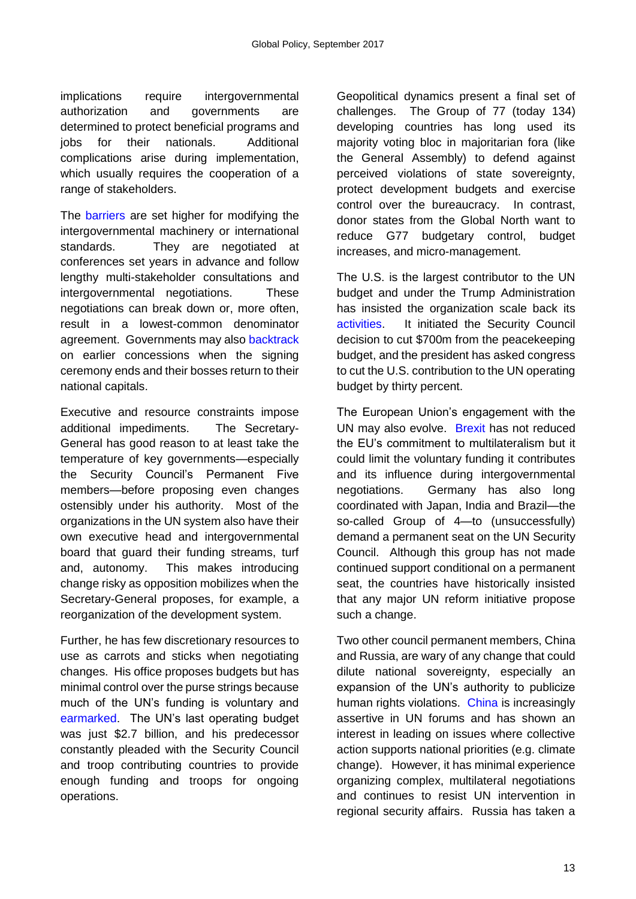implications require intergovernmental authorization and governments are determined to protect beneficial programs and jobs for their nationals. Additional complications arise during implementation, which usually requires the cooperation of a range of stakeholders.

The [barriers](file:///C:/Users/schroede/AppData/Local/Microsoft/Windows/Temporary%20Internet%20Files/Content.Outlook/VCXTOOZL/There%20are%20high%20hopes%20that%20Guterres%20is%20up%20for%20it.%20%20He%20is%20well%20connected%20and%20his%20proponents%20credit%20him%20a%20skilled%20negotiator,%20clever%20political%20operator%20and%20careful%20but%20principled%20advocate%20for%20the%20institutions%20he%20has%20led.%20%20During%20the%20campaign,%20few%20doubted%20he%20was%20qualified%20for%20the%20post%20even%20if%20many%20hoped%20the%20Security%20Council%20would%20appoint%20the%20first%20woman%20Secretary-General.%20%20He%20headed%20the%20UN’s%20refugee%20agency%20for%20a%20decade%20and%20is%20the%20first%20former%20head%20of%20government%20to%20be%20elected%20to%20the%20top%20UN%20post.%20%20%20Although%20he%20has%20his%20critics,%20his%20previous%20posts%20give%20him%20significant%20diplomatic%20and%20management%20experience,%20a%20vast%20social%20network,%20deep%20knowledge%20of%20the%20UN%20system,%20and%20a%20good%20understanding%20of%20intergovernmental%20negotiations.) are set higher for modifying the intergovernmental machinery or international standards. They are negotiated at conferences set years in advance and follow lengthy multi-stakeholder consultations and intergovernmental negotiations. These negotiations can break down or, more often, result in a lowest-common denominator agreement. Governments may also [backtrack](http://journals.rienner.com/doi/abs/10.5555/ggov.2007.13.2.151?code=lrpi-site&journalCode=ggov) on earlier concessions when the signing ceremony ends and their bosses return to their national capitals.

Executive and resource constraints impose additional impediments. The Secretary-General has good reason to at least take the temperature of key governments—especially the Security Council's Permanent Five members—before proposing even changes ostensibly under his authority. Most of the organizations in the UN system also have their own executive head and intergovernmental board that guard their funding streams, turf and, autonomy. This makes introducing change risky as opposition mobilizes when the Secretary-General proposes, for example, a reorganization of the development system.

Further, he has few discretionary resources to use as carrots and sticks when negotiating changes. His office proposes budgets but has minimal control over the purse strings because much of the UN's funding is voluntary and [earmarked.](http://journals.sagepub.com/doi/abs/10.1177/1354066116648755) The UN's last operating budget was just \$2.7 billion, and his predecessor constantly pleaded with the Security Council and troop contributing countries to provide enough funding and troops for ongoing operations.

Geopolitical dynamics present a final set of challenges. The Group of 77 (today 134) developing countries has long used its majority voting bloc in majoritarian fora (like the General Assembly) to defend against perceived violations of state sovereignty, protect development budgets and exercise control over the bureaucracy. In contrast, donor states from the Global North want to reduce G77 budgetary control, budget increases, and micro-management.

The U.S. is the largest contributor to the UN budget and under the Trump Administration has insisted the organization scale back its [activities.](http://www.politico.com/magazine/story/2017/06/27/united-nations-donald-trump-antonio-guterres-china-215315.) It initiated the Security Council decision to cut \$700m from the peacekeeping budget, and the president has asked congress to cut the U.S. contribution to the UN operating budget by thirty percent.

The European Union's engagement with the UN may also evolve. [Brexit](https://www.undispatch.com/implications-un-brexit/) has not reduced the EU's commitment to multilateralism but it could limit the voluntary funding it contributes and its influence during intergovernmental negotiations. Germany has also long coordinated with Japan, India and Brazil—the so-called Group of 4—to (unsuccessfully) demand a permanent seat on the UN Security Council. Although this group has not made continued support conditional on a permanent seat, the countries have historically insisted that any major UN reform initiative propose such a change.

Two other council permanent members, China and Russia, are wary of any change that could dilute national sovereignty, especially an expansion of the UN's authority to publicize human rights violations. [China](https://www.bloomberg.com/view/articles/2017-06-13/china-rethinks-its-global-role-in-the-age-of-trump) is increasingly assertive in UN forums and has shown an interest in leading on issues where collective action supports national priorities (e.g. climate change). However, it has minimal experience organizing complex, multilateral negotiations and continues to resist UN intervention in regional security affairs. Russia has taken a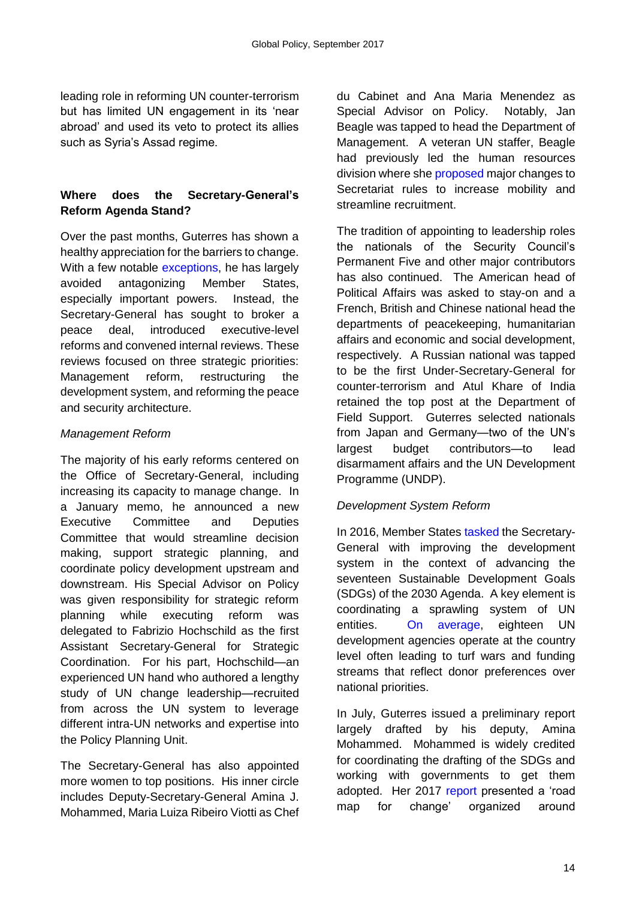leading role in reforming UN counter-terrorism but has limited UN engagement in its 'near abroad' and used its veto to protect its allies such as Syria's Assad regime.

#### **Where does the Secretary-General's Reform Agenda Stand?**

Over the past months, Guterres has shown a healthy appreciation for the barriers to change. With a few notable [exceptions,](http://www.politico.com/magazine/story/2017/06/27/united-nations-donald-trump-antonio-guterres-china-215315) he has largely avoided antagonizing Member States, especially important powers. Instead, the Secretary-General has sought to broker a peace deal, introduced executive-level reforms and convened internal reviews. These reviews focused on three strategic priorities: Management reform, restructuring the development system, and reforming the peace and security architecture.

#### *Management Reform*

The majority of his early reforms centered on the Office of Secretary-General, including increasing its capacity to manage change. In a January memo, he announced a new Executive Committee and Deputies Committee that would streamline decision making, support strategic planning, and coordinate policy development upstream and downstream. His Special Advisor on Policy was given responsibility for strategic reform planning while executing reform was delegated to Fabrizio Hochschild as the first Assistant Secretary-General for Strategic Coordination. For his part, Hochschild—an experienced UN hand who authored a lengthy study of UN change leadership—recruited from across the UN system to leverage different intra-UN networks and expertise into the Policy Planning Unit.

The Secretary-General has also appointed more women to top positions. His inner circle includes Deputy-Secretary-General Amina J. Mohammed, Maria Luiza Ribeiro Viotti as Chef du Cabinet and Ana Maria Menendez as Special Advisor on Policy. Notably, Jan Beagle was tapped to head the Department of Management. A veteran UN staffer, Beagle had previously led the human resources division where she [proposed](https://www.un.org/ecosoc/sites/www.un.org.ecosoc/files/files/en/qcpr/sg-report-on-unds-qcpr-june-2017.pdf.) major changes to Secretariat rules to increase mobility and streamline recruitment.

The tradition of appointing to leadership roles the nationals of the Security Council's Permanent Five and other major contributors has also continued. The American head of Political Affairs was asked to stay-on and a French, British and Chinese national head the departments of peacekeeping, humanitarian affairs and economic and social development, respectively. A Russian national was tapped to be the first Under-Secretary-General for counter-terrorism and Atul Khare of India retained the top post at the Department of Field Support. Guterres selected nationals from Japan and Germany—two of the UN's largest budget contributors—to lead disarmament affairs and the UN Development Programme (UNDP).

#### *Development System Reform*

In 2016, Member State[s tasked](http://www.un.org/ga/search/view_doc.asp?symbol=A/RES/71/243) the Secretary-General with improving the development system in the context of advancing the seventeen Sustainable Development Goals (SDGs) of the 2030 Agenda. A key element is coordinating a sprawling system of UN entities. [On average,](https://www.un.org/ecosoc/sites/www.un.org.ecosoc/files/files/en/qcpr/sg-report-on-unds-qcpr-june-2017.pdf.) eighteen UN development agencies operate at the country level often leading to turf wars and funding streams that reflect donor preferences over national priorities.

In July, Guterres issued a preliminary report largely drafted by his deputy, Amina Mohammed. Mohammed is widely credited for coordinating the drafting of the SDGs and working with governments to get them adopted. Her 2017 [report](https://www.un.org/ecosoc/sites/www.un.org.ecosoc/files/files/en/qcpr/sg-report-on-unds-qcpr-june-2017.pdf.) presented a 'road map for change' organized around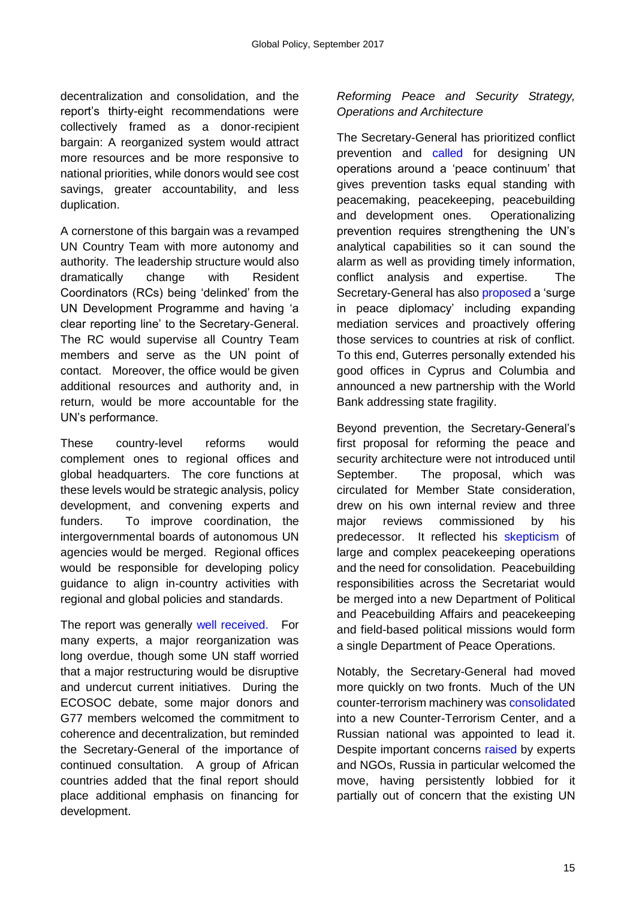decentralization and consolidation, and the report's thirty-eight recommendations were collectively framed as a donor-recipient bargain: A reorganized system would attract more resources and be more responsive to national priorities, while donors would see cost savings, greater accountability, and less duplication.

A cornerstone of this bargain was a revamped UN Country Team with more autonomy and authority. The leadership structure would also dramatically change with Resident Coordinators (RCs) being 'delinked' from the UN Development Programme and having 'a clear reporting line' to the Secretary-General. The RC would supervise all Country Team members and serve as the UN point of contact. Moreover, the office would be given additional resources and authority and, in return, would be more accountable for the UN's performance.

These country-level reforms would complement ones to regional offices and global headquarters. The core functions at these levels would be strategic analysis, policy development, and convening experts and funders. To improve coordination, the intergovernmental boards of autonomous UN agencies would be merged. Regional offices would be responsible for developing policy guidance to align in-country activities with regional and global policies and standards.

The report was generally [well received.](https://www.un.org/press/en/2017/ecosoc6851.doc.htm) For many experts, a major reorganization was long overdue, though some UN staff worried that a major restructuring would be disruptive and undercut current initiatives. During the ECOSOC debate, some major donors and G77 members welcomed the commitment to coherence and decentralization, but reminded the Secretary-General of the importance of continued consultation. A group of African countries added that the final report should place additional emphasis on financing for development.

## *Reforming Peace and Security Strategy, Operations and Architecture*

The Secretary-General has prioritized conflict prevention and [called](https://www.un.org/sg/en/content/sg/speeches/2017-01-10/secretary-generals-remarks-maintenance-international-peace-and) for designing UN operations around a 'peace continuum' that gives prevention tasks equal standing with peacemaking, peacekeeping, peacebuilding and development ones. Operationalizing prevention requires strengthening the UN's analytical capabilities so it can sound the alarm as well as providing timely information, conflict analysis and expertise. The Secretary-General has also [proposed](https://www.un.org/press/en/2017/sgsm18446.doc.htm) a 'surge' in peace diplomacy' including expanding mediation services and proactively offering those services to countries at risk of conflict. To this end, Guterres personally extended his good offices in Cyprus and Columbia and announced a new partnership with the World Bank addressing state fragility.

Beyond prevention, the Secretary-General's first proposal for reforming the peace and security architecture were not introduced until September. The proposal, which was circulated for Member State consideration, drew on his own internal review and three major reviews commissioned by his predecessor. It reflected his [skepticism](file:///C:/Users/schroede/AppData/Local/Microsoft/Windows/Temporary%20Internet%20Files/Content.Outlook/VCXTOOZL/at%20http:/www.worldpoliticsreview.com/articles/21343/can-guterres-turn-the-u-n-s-bureaucrats-into-heroes) of large and complex peacekeeping operations and the need for consolidation. Peacebuilding responsibilities across the Secretariat would be merged into a new Department of Political and Peacebuilding Affairs and peacekeeping and field-based political missions would form a single Department of Peace Operations.

Notably, the Secretary-General had moved more quickly on two fronts. Much of the UN counter-terrorism machinery was [consolidated](https://www.un.org/pga/71/wp-content/uploads/sites/40/2015/08/Implementing-UN-Global-Counter-Terrorism-Strategy.pdf.) into a new Counter-Terrorism Center, and a Russian national was appointed to lead it. Despite important concerns [raised](https://theglobalobservatory.org/2017/02/united-nations-counterterrorism-preventing-violent-extremism/) by experts and NGOs, Russia in particular welcomed the move, having persistently lobbied for it partially out of concern that the existing UN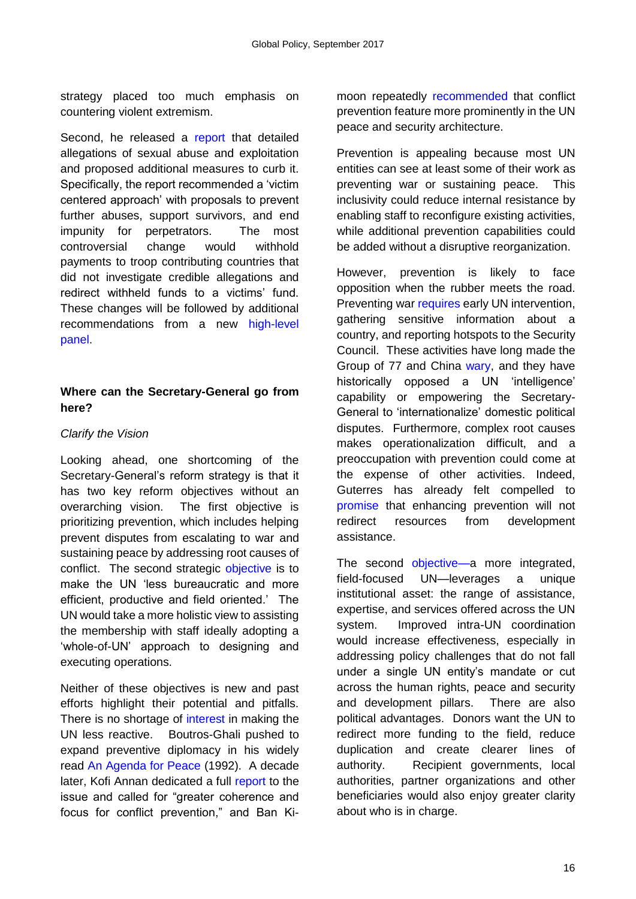strategy placed too much emphasis on countering violent extremism.

Second, he released a [report](https://www.un.org/en/peacekeeping/documents/SG%20Report_%20A%2071%20818%20Special%20measures%20for%20protection%20from%20sexual%20exploitation%20and%20abuse.pdf) that detailed allegations of sexual abuse and exploitation and proposed additional measures to curb it. Specifically, the report recommended a 'victim centered approach' with proposals to prevent further abuses, support survivors, and end impunity for perpetrators. The most controversial change would withhold payments to troop contributing countries that did not investigate credible allegations and redirect withheld funds to a victims' fund. These changes will be followed by additional recommendations from a new [high-level](http://www.un.org/apps/news/story.asp?NewsID=57536#.WcJpr8ZrxbV)  [panel.](http://www.un.org/apps/news/story.asp?NewsID=57536#.WcJpr8ZrxbV)

#### **Where can the Secretary-General go from here?**

#### *Clarify the Vision*

Looking ahead, one shortcoming of the Secretary-General's reform strategy is that it has two key reform objectives without an overarching vision. The first objective is prioritizing prevention, which includes helping prevent disputes from escalating to war and sustaining peace by addressing root causes of conflict. The second strategic [objective](http://www.antonioguterres.gov.pt/vision-statement) is to make the UN 'less bureaucratic and more efficient, productive and field oriented.' The UN would take a more holistic view to assisting the membership with staff ideally adopting a 'whole-of-UN' approach to designing and executing operations.

Neither of these objectives is new and past efforts highlight their potential and pitfalls. There is no shortage of [interest](http://journals.rienner.com/doi/abs/10.5555/ggov.2008.14.2.135?code=lrpi-site) in making the UN less reactive. Boutros-Ghali pushed to expand preventive diplomacy in his widely read [An Agenda for Peace](http://journals.rienner.com/doi/abs/10.5555/ggov.2007.13.2.151?code=lrpi-site) (1992). A decade later, Kofi Annan dedicated a full [report](https://www.google.com/url?sa=t&rct=j&q=&esrc=s&source=web&cd=3&ved=0ahUKEwinlvTAmbLWAhVp1oMKHbNJCOYQFgg1MAI&url=http%3A%2F%2Funpan1.un.org%2Fintradoc%2Fgroups%2Fpublic%2Fdocuments%2Fun%2Funpan005902.pdf&usg=AFQjCNF5ntHTzqa7gPID-hilSnV7Kyj11Q) to the issue and called for "greater coherence and focus for conflict prevention," and Ban Kimoon repeatedly [recommended](https://www.un.org/press/en/2016/sgsm17540.doc.htm) that conflict prevention feature more prominently in the UN peace and security architecture.

Prevention is appealing because most UN entities can see at least some of their work as preventing war or sustaining peace. This inclusivity could reduce internal resistance by enabling staff to reconfigure existing activities, while additional prevention capabilities could be added without a disruptive reorganization.

However, prevention is likely to face opposition when the rubber meets the road. Preventing war [requires](http://www.zif-berlin.org/fileadmin/uploads/analyse/dokumente/veroeffentlichungen/ZIF_Policy_Briefing_Bernstein_Conflict_Prevention_March_2017.pdf.) early UN intervention, gathering sensitive information about a country, and reporting hotspots to the Security Council. These activities have long made the Group of 77 and China [wary,](http://journals.rienner.com/doi/abs/10.5555/ggov.2008.14.2.135?code=lrpi-site) and they have historically opposed a UN 'intelligence' capability or empowering the Secretary-General to 'internationalize' domestic political disputes. Furthermore, complex root causes makes operationalization difficult, and a preoccupation with prevention could come at the expense of other activities. Indeed, Guterres has already felt compelled to [promise](https://www.un.org/sg/en/content/sg/statement/2017-07-05/secretary-generals-remarks-economic-and-social-council-repositioning) that enhancing prevention will not redirect resources from development assistance.

The second [objective—a](https://www.un.org/sg/en/content/sg/speeches/2016-12-12/secretary-general-designate-ant%C3%B3nio-guterres-oath-office-speech) more integrated, field-focused UN—leverages a unique institutional asset: the range of assistance, expertise, and services offered across the UN system. Improved intra-UN coordination would increase effectiveness, especially in addressing policy challenges that do not fall under a single UN entity's mandate or cut across the human rights, peace and security and development pillars. There are also political advantages. Donors want the UN to redirect more funding to the field, reduce duplication and create clearer lines of authority. Recipient governments, local authorities, partner organizations and other beneficiaries would also enjoy greater clarity about who is in charge.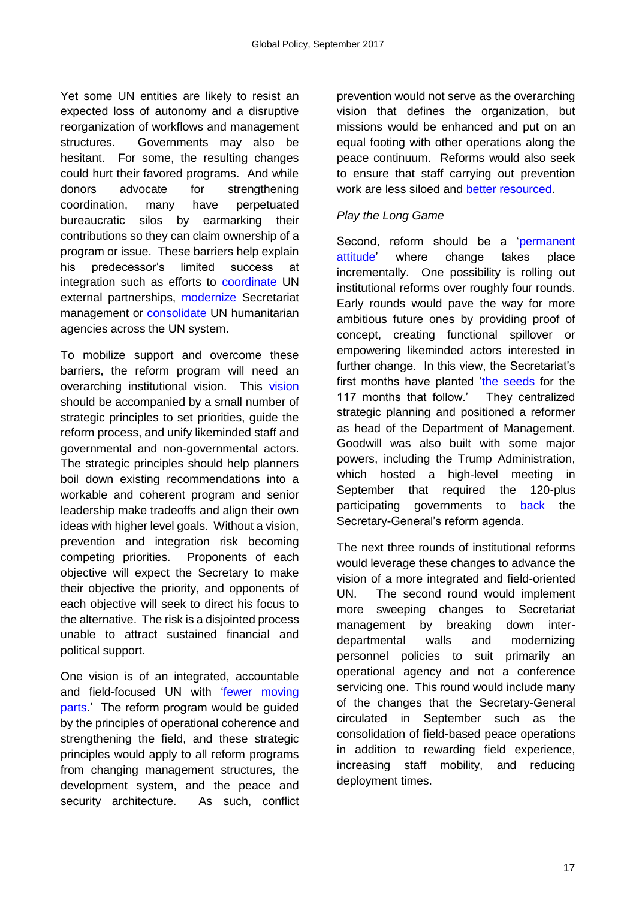Yet some UN entities are likely to resist an expected loss of autonomy and a disruptive reorganization of workflows and management structures. Governments may also be hesitant. For some, the resulting changes could hurt their favored programs. And while donors advocate for strengthening coordination, many have perpetuated bureaucratic silos by earmarking their contributions so they can claim ownership of a program or issue. These barriers help explain his predecessor's limited success at integration such as efforts to [coordinate](https://www.devex.com/news/un-partnership-facility-derailed-86251) UN external partnerships, [modernize](http://journals.rienner.com/doi/abs/10.5555/ggov.2007.13.2.151?code=lrpi-site) Secretariat management or [consolidate](http://journals.sagepub.com/doi/abs/10.1177/0967010698029001002) UN humanitarian agencies across the UN system.

To mobilize support and overcome these barriers, the reform program will need an overarching institutional vision. This [vision](http://onlinelibrary.wiley.com/doi/10.1111/misr.12147/abstract)  should be accompanied by a small number of strategic principles to set priorities, guide the reform process, and unify likeminded staff and governmental and non-governmental actors. The strategic principles should help planners boil down existing recommendations into a workable and coherent program and senior leadership make tradeoffs and align their own ideas with higher level goals. Without a vision, prevention and integration risk becoming competing priorities. Proponents of each objective will expect the Secretary to make their objective the priority, and opponents of each objective will seek to direct his focus to the alternative. The risk is a disjointed process unable to attract sustained financial and political support.

One vision is of an integrated, accountable and field-focused UN with ['fewer moving](https://www.chathamhouse.org/publication/ia/windows-opportunity-un-reform-historical-insights-next-secretary-general)  [parts.](https://www.chathamhouse.org/publication/ia/windows-opportunity-un-reform-historical-insights-next-secretary-general)' The reform program would be guided by the principles of operational coherence and strengthening the field, and these strategic principles would apply to all reform programs from changing management structures, the development system, and the peace and security architecture. As such, conflict prevention would not serve as the overarching vision that defines the organization, but missions would be enhanced and put on an equal footing with other operations along the peace continuum. Reforms would also seek to ensure that staff carrying out prevention work are less siloed and [better resourced.](https://www.un.org/sg/en/content/sg/speeches/2017-01-10/secretary-generals-remarks-maintenance-international-peace-and.)

#### *Play the Long Game*

Second, reform should be a ['permanent](http://time.com/4415879/qa-with-un-secretary-general-candidate-antonio-guterres/)  [attitude'](http://time.com/4415879/qa-with-un-secretary-general-candidate-antonio-guterres/) where change takes place incrementally. One possibility is rolling out institutional reforms over roughly four rounds. Early rounds would pave the way for more ambitious future ones by providing proof of concept, creating functional spillover or empowering likeminded actors interested in further change. In this view, the Secretariat's first months have planted ['the seeds](https://www.una.org.uk/magazine/2-2016/secretary-general%E2%80%99s-first-100-days) for the 117 months that follow.' They centralized strategic planning and positioned a reformer as head of the Department of Management. Goodwill was also built with some major powers, including the Trump Administration, which hosted a high-level meeting in September that required the 120-plus participating governments to [back](http://www.passblue.com/wp-content/uploads/2017/08/FINAL-UN-Reform-Declaration.pdf) the Secretary-General's reform agenda.

The next three rounds of institutional reforms would leverage these changes to advance the vision of a more integrated and field-oriented UN. The second round would implement more sweeping changes to Secretariat management by breaking down interdepartmental walls and modernizing personnel policies to suit primarily an operational agency and not a conference servicing one. This round would include many of the changes that the Secretary-General circulated in September such as the consolidation of field-based peace operations in addition to rewarding field experience, increasing staff mobility, and reducing deployment times.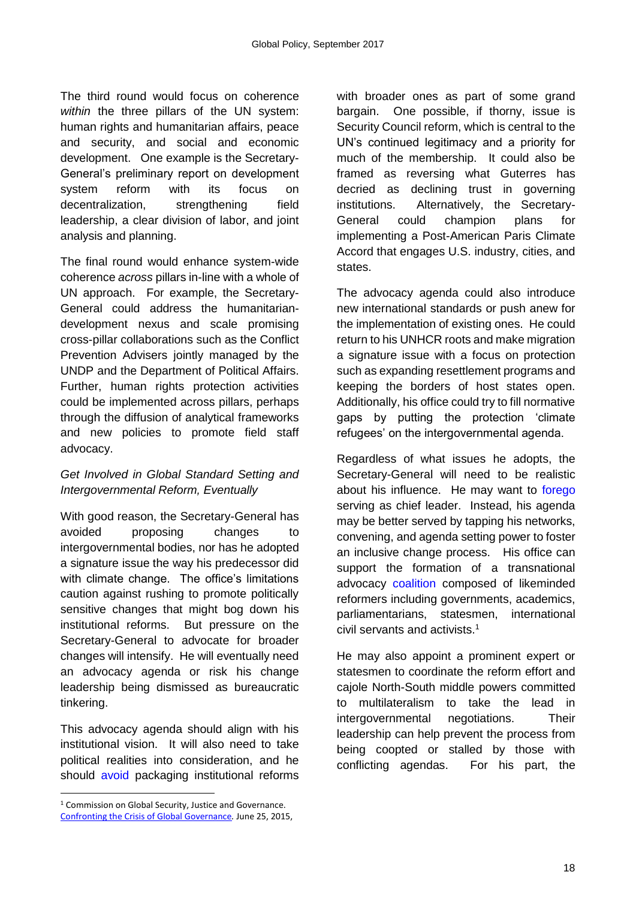The third round would focus on coherence *within* the three pillars of the UN system: human rights and humanitarian affairs, peace and security, and social and economic development. One example is the Secretary-General's preliminary report on development system reform with its focus on decentralization, strengthening field leadership, a clear division of labor, and joint analysis and planning.

The final round would enhance system-wide coherence *across* pillars in-line with a whole of UN approach. For example, the Secretary-General could address the humanitariandevelopment nexus and scale promising cross-pillar collaborations such as the Conflict Prevention Advisers jointly managed by the UNDP and the Department of Political Affairs. Further, human rights protection activities could be implemented across pillars, perhaps through the diffusion of analytical frameworks and new policies to promote field staff advocacy.

#### *Get Involved in Global Standard Setting and Intergovernmental Reform, Eventually*

With good reason, the Secretary-General has avoided proposing changes to intergovernmental bodies, nor has he adopted a signature issue the way his predecessor did with climate change. The office's limitations caution against rushing to promote politically sensitive changes that might bog down his institutional reforms. But pressure on the Secretary-General to advocate for broader changes will intensify. He will eventually need an advocacy agenda or risk his change leadership being dismissed as bureaucratic tinkering.

This advocacy agenda should align with his institutional vision. It will also need to take political realities into consideration, and he should [avoid](https://www.jstor.org/stable/27800582?seq=1#page_scan_tab_contents) packaging institutional reforms

**.** 

with broader ones as part of some grand bargain. One possible, if thorny, issue is Security Council reform, which is central to the UN's continued legitimacy and a priority for much of the membership. It could also be framed as reversing what Guterres has decried as declining trust in governing institutions. Alternatively, the Secretary-General could champion plans for implementing a Post-American Paris Climate Accord that engages U.S. industry, cities, and states.

The advocacy agenda could also introduce new international standards or push anew for the implementation of existing ones. He could return to his UNHCR roots and make migration a signature issue with a focus on protection such as expanding resettlement programs and keeping the borders of host states open. Additionally, his office could try to fill normative gaps by putting the protection 'climate refugees' on the intergovernmental agenda.

Regardless of what issues he adopts, the Secretary-General will need to be realistic about his influence. He may want to [forego](http://onlinelibrary.wiley.com/doi/10.1111/1758-5899.12445/abstract) serving as chief leader. Instead, his agenda may be better served by tapping his networks, convening, and agenda setting power to foster an inclusive change process. His office can support the formation of a transnational advocacy [coalition](file:///C:/Users/schroede/Desktop/Beyond%20100%20days%20UNSG%20leadership%20paper/Confronting%20the%20Crisis%20of%20Global%20Governance.%20June%2025,%202015,%20https:/www.stimson.org/sites/default/files/file-attachments/Commission_on_Global_Security_Justice%20_Governance_0.pdf) composed of likeminded reformers including governments, academics, parliamentarians, statesmen, international civil servants and activists.<sup>1</sup>

He may also appoint a prominent expert or statesmen to coordinate the reform effort and cajole North-South middle powers committed to multilateralism to take the lead in intergovernmental negotiations. Their leadership can help prevent the process from being coopted or stalled by those with conflicting agendas. For his part, the

<sup>&</sup>lt;sup>1</sup> Commission on Global Security, Justice and Governance. [Confronting the Crisis of Global Governance](https://www.stimson.org/sites/default/files/file-attachments/Commission_on_Global_Security_Justice%20_Governance_0.pdf.)*.* June 25, 2015,